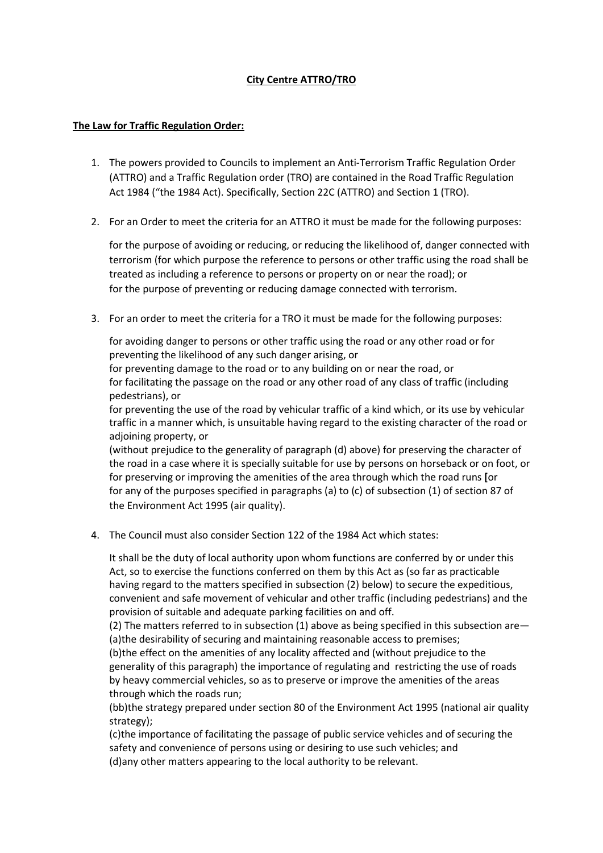## City Centre ATTRO/TRO

## The Law for Traffic Regulation Order:

- 1. The powers provided to Councils to implement an Anti-Terrorism Traffic Regulation Order (ATTRO) and a Traffic Regulation order (TRO) are contained in the Road Traffic Regulation Act 1984 ("the 1984 Act). Specifically, Section 22C (ATTRO) and Section 1 (TRO).
- 2. For an Order to meet the criteria for an ATTRO it must be made for the following purposes:

for the purpose of avoiding or reducing, or reducing the likelihood of, danger connected with terrorism (for which purpose the reference to persons or other traffic using the road shall be treated as including a reference to persons or property on or near the road); or for the purpose of preventing or reducing damage connected with terrorism.

3. For an order to meet the criteria for a TRO it must be made for the following purposes:

for avoiding danger to persons or other traffic using the road or any other road or for preventing the likelihood of any such danger arising, or

for preventing damage to the road or to any building on or near the road, or for facilitating the passage on the road or any other road of any class of traffic (including pedestrians), or

for preventing the use of the road by vehicular traffic of a kind which, or its use by vehicular traffic in a manner which, is unsuitable having regard to the existing character of the road or adjoining property, or

(without prejudice to the generality of paragraph (d) above) for preserving the character of the road in a case where it is specially suitable for use by persons on horseback or on foot, or for preserving or improving the amenities of the area through which the road runs [or for any of the purposes specified in paragraphs (a) to (c) of subsection (1) of section 87 of the Environment Act 1995 (air quality).

4. The Council must also consider Section 122 of the 1984 Act which states:

It shall be the duty of local authority upon whom functions are conferred by or under this Act, so to exercise the functions conferred on them by this Act as (so far as practicable having regard to the matters specified in subsection (2) below) to secure the expeditious, convenient and safe movement of vehicular and other traffic (including pedestrians) and the provision of suitable and adequate parking facilities on and off.

(2) The matters referred to in subsection (1) above as being specified in this subsection are— (a)the desirability of securing and maintaining reasonable access to premises;

(b)the effect on the amenities of any locality affected and (without prejudice to the generality of this paragraph) the importance of regulating and restricting the use of roads by heavy commercial vehicles, so as to preserve or improve the amenities of the areas through which the roads run;

(bb)the strategy prepared under section 80 of the Environment Act 1995 (national air quality strategy);

(c)the importance of facilitating the passage of public service vehicles and of securing the safety and convenience of persons using or desiring to use such vehicles; and (d)any other matters appearing to the local authority to be relevant.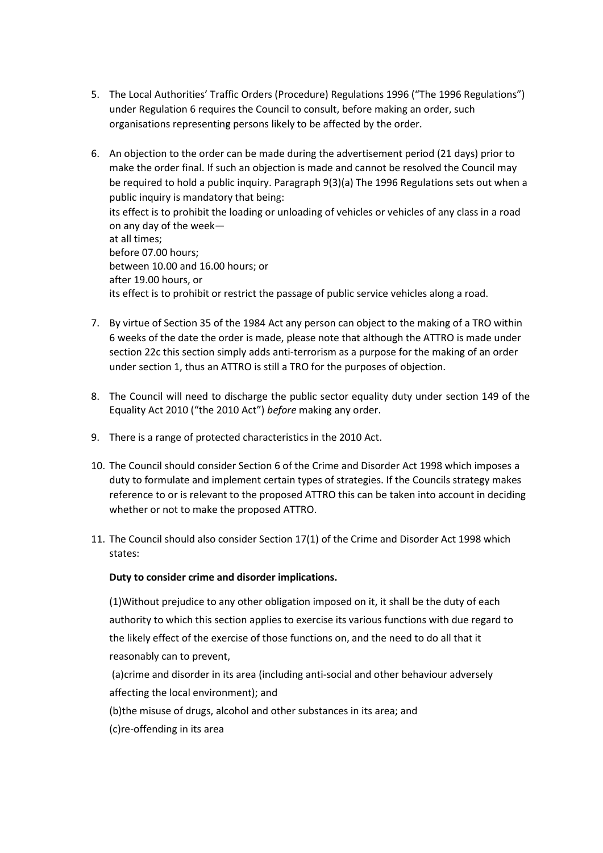- 5. The Local Authorities' Traffic Orders (Procedure) Regulations 1996 ("The 1996 Regulations") under Regulation 6 requires the Council to consult, before making an order, such organisations representing persons likely to be affected by the order.
- 6. An objection to the order can be made during the advertisement period (21 days) prior to make the order final. If such an objection is made and cannot be resolved the Council may be required to hold a public inquiry. Paragraph 9(3)(a) The 1996 Regulations sets out when a public inquiry is mandatory that being: its effect is to prohibit the loading or unloading of vehicles or vehicles of any class in a road on any day of the week at all times; before 07.00 hours; between 10.00 and 16.00 hours; or after 19.00 hours, or its effect is to prohibit or restrict the passage of public service vehicles along a road.
- 7. By virtue of Section 35 of the 1984 Act any person can object to the making of a TRO within 6 weeks of the date the order is made, please note that although the ATTRO is made under section 22c this section simply adds anti-terrorism as a purpose for the making of an order under section 1, thus an ATTRO is still a TRO for the purposes of objection.
- 8. The Council will need to discharge the public sector equality duty under section 149 of the Equality Act 2010 ("the 2010 Act") before making any order.
- 9. There is a range of protected characteristics in the 2010 Act.
- 10. The Council should consider Section 6 of the Crime and Disorder Act 1998 which imposes a duty to formulate and implement certain types of strategies. If the Councils strategy makes reference to or is relevant to the proposed ATTRO this can be taken into account in deciding whether or not to make the proposed ATTRO.
- 11. The Council should also consider Section 17(1) of the Crime and Disorder Act 1998 which states:

## Duty to consider crime and disorder implications.

(1)Without prejudice to any other obligation imposed on it, it shall be the duty of each authority to which this section applies to exercise its various functions with due regard to the likely effect of the exercise of those functions on, and the need to do all that it reasonably can to prevent,

 (a)crime and disorder in its area (including anti-social and other behaviour adversely affecting the local environment); and

(b)the misuse of drugs, alcohol and other substances in its area; and

(c)re-offending in its area